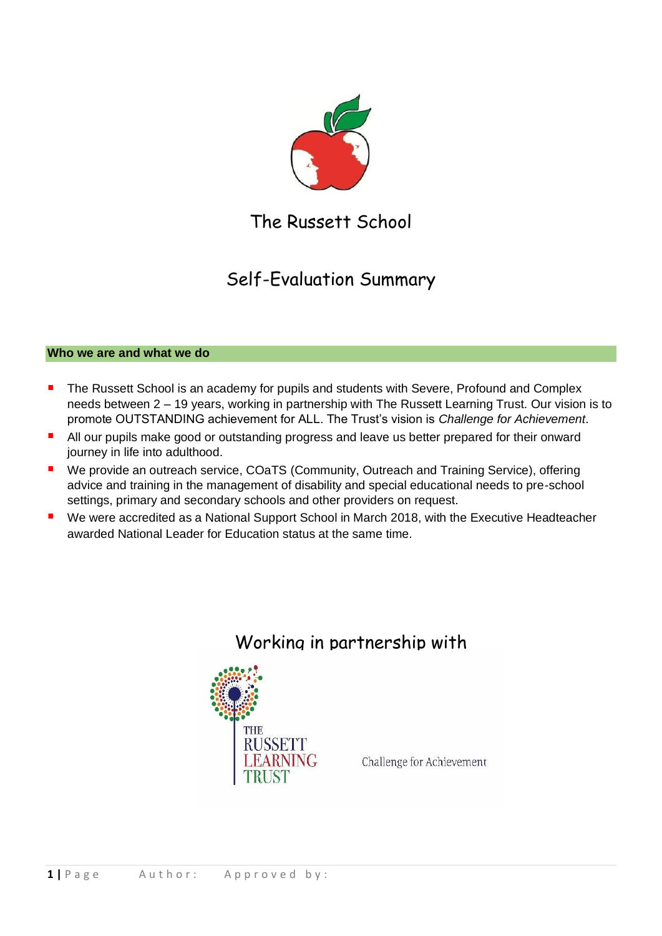

The Russett School

# Self-Evaluation Summary

# **Who we are and what we do**

- $\blacksquare$ The Russett School is an academy for pupils and students with Severe, Profound and Complex needs between 2 – 19 years, working in partnership with The Russett Learning Trust. Our vision is to promote OUTSTANDING achievement for ALL. The Trust's vision is *Challenge for Achievement*.
- п All our pupils make good or outstanding progress and leave us better prepared for their onward journey in life into adulthood.
- $\blacksquare$ We provide an outreach service, COaTS (Community, Outreach and Training Service), offering advice and training in the management of disability and special educational needs to pre-school settings, primary and secondary schools and other providers on request.
- Ē, We were accredited as a National Support School in March 2018, with the Executive Headteacher awarded National Leader for Education status at the same time.



# Working in partnership with

Challenge for Achievement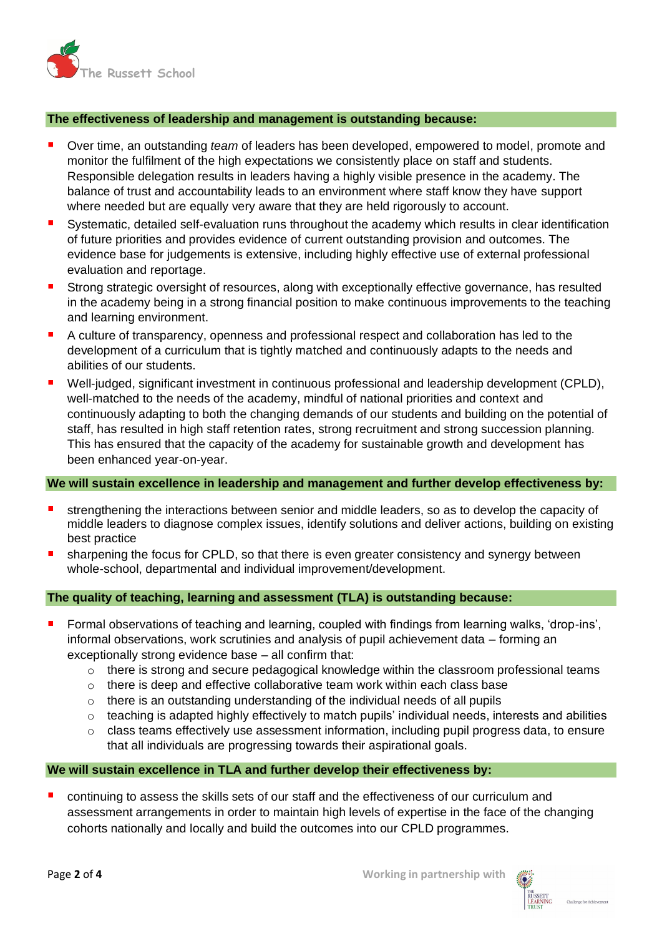

# **The effectiveness of leadership and management is outstanding because:**

- Over time, an outstanding *team* of leaders has been developed, empowered to model, promote and monitor the fulfilment of the high expectations we consistently place on staff and students. Responsible delegation results in leaders having a highly visible presence in the academy. The balance of trust and accountability leads to an environment where staff know they have support where needed but are equally very aware that they are held rigorously to account.
- $\blacksquare$ Systematic, detailed self-evaluation runs throughout the academy which results in clear identification of future priorities and provides evidence of current outstanding provision and outcomes. The evidence base for judgements is extensive, including highly effective use of external professional evaluation and reportage.
- $\blacksquare$ Strong strategic oversight of resources, along with exceptionally effective governance, has resulted in the academy being in a strong financial position to make continuous improvements to the teaching and learning environment.
- A culture of transparency, openness and professional respect and collaboration has led to the development of a curriculum that is tightly matched and continuously adapts to the needs and abilities of our students.
- Well-judged, significant investment in continuous professional and leadership development (CPLD),  $\blacksquare$ well-matched to the needs of the academy, mindful of national priorities and context and continuously adapting to both the changing demands of our students and building on the potential of staff, has resulted in high staff retention rates, strong recruitment and strong succession planning. This has ensured that the capacity of the academy for sustainable growth and development has been enhanced year-on-year.

#### **We will sustain excellence in leadership and management and further develop effectiveness by:**

- strengthening the interactions between senior and middle leaders, so as to develop the capacity of middle leaders to diagnose complex issues, identify solutions and deliver actions, building on existing best practice
- sharpening the focus for CPLD, so that there is even greater consistency and synergy between whole-school, departmental and individual improvement/development.

# **The quality of teaching, learning and assessment (TLA) is outstanding because:**

- Formal observations of teaching and learning, coupled with findings from learning walks, 'drop-ins', informal observations, work scrutinies and analysis of pupil achievement data – forming an exceptionally strong evidence base – all confirm that:
	- $\circ$  there is strong and secure pedagogical knowledge within the classroom professional teams
	- o there is deep and effective collaborative team work within each class base
	- o there is an outstanding understanding of the individual needs of all pupils
	- $\circ$  teaching is adapted highly effectively to match pupils' individual needs, interests and abilities
	- o class teams effectively use assessment information, including pupil progress data, to ensure that all individuals are progressing towards their aspirational goals.

#### **We will sustain excellence in TLA and further develop their effectiveness by:**

continuing to assess the skills sets of our staff and the effectiveness of our curriculum and assessment arrangements in order to maintain high levels of expertise in the face of the changing cohorts nationally and locally and build the outcomes into our CPLD programmes.

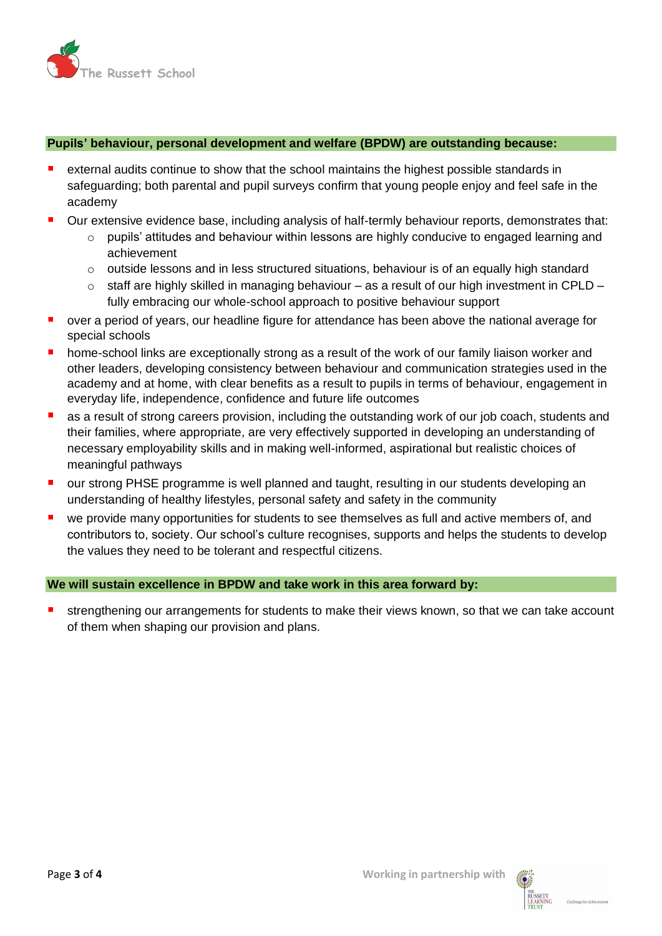

# **Pupils' behaviour, personal development and welfare (BPDW) are outstanding because:**

- external audits continue to show that the school maintains the highest possible standards in safeguarding; both parental and pupil surveys confirm that young people enjoy and feel safe in the academy
- Our extensive evidence base, including analysis of half-termly behaviour reports, demonstrates that:
	- o pupils' attitudes and behaviour within lessons are highly conducive to engaged learning and achievement
	- $\circ$  outside lessons and in less structured situations, behaviour is of an equally high standard
	- $\circ$  staff are highly skilled in managing behaviour as a result of our high investment in CPLD fully embracing our whole-school approach to positive behaviour support
- over a period of years, our headline figure for attendance has been above the national average for special schools
- $\blacksquare$ home-school links are exceptionally strong as a result of the work of our family liaison worker and other leaders, developing consistency between behaviour and communication strategies used in the academy and at home, with clear benefits as a result to pupils in terms of behaviour, engagement in everyday life, independence, confidence and future life outcomes
- $\blacksquare$ as a result of strong careers provision, including the outstanding work of our job coach, students and their families, where appropriate, are very effectively supported in developing an understanding of necessary employability skills and in making well-informed, aspirational but realistic choices of meaningful pathways
- our strong PHSE programme is well planned and taught, resulting in our students developing an  $\blacksquare$ understanding of healthy lifestyles, personal safety and safety in the community
- Ē, we provide many opportunities for students to see themselves as full and active members of, and contributors to, society. Our school's culture recognises, supports and helps the students to develop the values they need to be tolerant and respectful citizens.

# **We will sustain excellence in BPDW and take work in this area forward by:**

strengthening our arrangements for students to make their views known, so that we can take account of them when shaping our provision and plans.